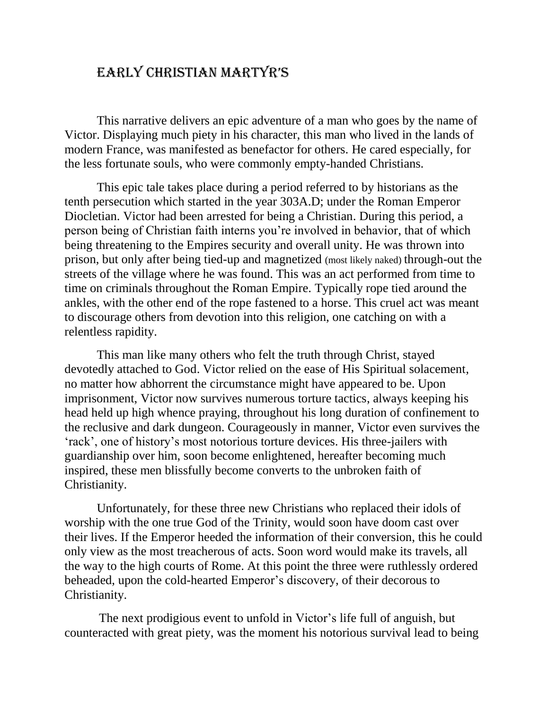## Early Christian Martyr's

This narrative delivers an epic adventure of a man who goes by the name of Victor. Displaying much piety in his character, this man who lived in the lands of modern France, was manifested as benefactor for others. He cared especially, for the less fortunate souls, who were commonly empty-handed Christians.

This epic tale takes place during a period referred to by historians as the tenth persecution which started in the year 303A.D; under the Roman Emperor Diocletian. Victor had been arrested for being a Christian. During this period, a person being of Christian faith interns you're involved in behavior, that of which being threatening to the Empires security and overall unity. He was thrown into prison, but only after being tied-up and magnetized (most likely naked) through-out the streets of the village where he was found. This was an act performed from time to time on criminals throughout the Roman Empire. Typically rope tied around the ankles, with the other end of the rope fastened to a horse. This cruel act was meant to discourage others from devotion into this religion, one catching on with a relentless rapidity.

This man like many others who felt the truth through Christ, stayed devotedly attached to God. Victor relied on the ease of His Spiritual solacement, no matter how abhorrent the circumstance might have appeared to be. Upon imprisonment, Victor now survives numerous torture tactics, always keeping his head held up high whence praying, throughout his long duration of confinement to the reclusive and dark dungeon. Courageously in manner, Victor even survives the 'rack', one of history's most notorious torture devices. His three-jailers with guardianship over him, soon become enlightened, hereafter becoming much inspired, these men blissfully become converts to the unbroken faith of Christianity.

Unfortunately, for these three new Christians who replaced their idols of worship with the one true God of the Trinity, would soon have doom cast over their lives. If the Emperor heeded the information of their conversion, this he could only view as the most treacherous of acts. Soon word would make its travels, all the way to the high courts of Rome. At this point the three were ruthlessly ordered beheaded, upon the cold-hearted Emperor's discovery, of their decorous to Christianity.

 The next prodigious event to unfold in Victor's life full of anguish, but counteracted with great piety, was the moment his notorious survival lead to being